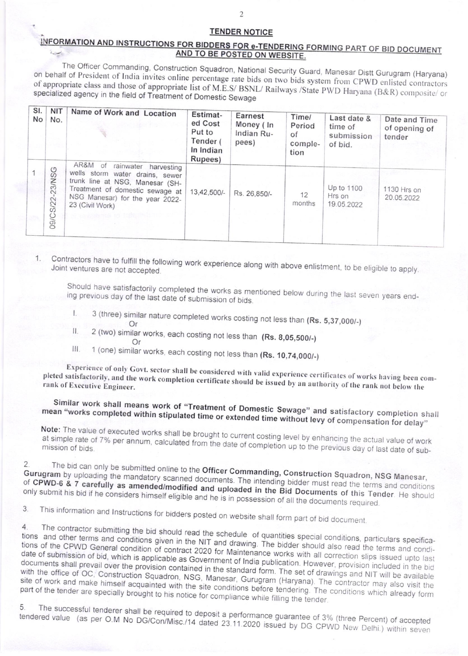## **TENDER NOTICE**

## INFORMATION AND INSTRUCTIONS FOR BIDDERS FOR e-TENDERING FORMING PART OF BID DOCUMENT AND TO BE POSTED ON WEBSITE.

The Officer Commanding, Construction Squadron, National Security Guard, Manesar Distt Gurugram (Haryana) on behalf of President of India invites online percentage rate bids on two bids system from CPWD enlisted contractors of appropriate class and those of appropriate list of M.E.S/ BSNL/ Railways /State PWD Haryana (B&R) composite/ or specialized agency in the field of Treatment of Domestic Sewage

| SI.<br><b>No</b> | <b>NIT</b><br>No.                       | Name of Work and Location                                                                                                                                                                      | Estimat-<br>ed Cost<br>Put to<br>Tender (<br>In Indian<br>Rupees) | Earnest<br>Money (In<br>Indian Ru-<br>pees) | Time/<br>Period<br>of<br>comple-<br>tion | Last date &<br>time of<br>submission<br>of bid. | Date and Time<br>of opening of<br>tender |
|------------------|-----------------------------------------|------------------------------------------------------------------------------------------------------------------------------------------------------------------------------------------------|-------------------------------------------------------------------|---------------------------------------------|------------------------------------------|-------------------------------------------------|------------------------------------------|
|                  | $\circ$<br>$\omega$<br>23/N<br>09/CS/22 | AR&M of<br>rainwater harvesting<br>wells storm water drains, sewer<br>trunk line at NSG, Manesar (SH-<br>Treatment of domestic sewage at<br>NSG Manesar) for the year 2022-<br>23 (Civil Work) | 13,42,500/-                                                       | Rs. 26,850/-                                | 12<br>months                             | Up to 1100<br>Hrs on<br>19.05.2022              | 1130 Hrs on<br>20.05.2022                |

Contractors have to fulfill the following work experience along with above enlistment, to be eligible to apply. Joint ventures are not accepted.

Should have satisfactorily completed the works as mentioned below during the last seven years ending previous day of the last date of submission of bids.

- 3 (three) similar nature completed works costing not less than (Rs. 5,37,000/-)  $\mathsf{L}$ Or
- 2 (two) similar works, each costing not less than (Rs. 8,05,500/-)  $\prod$
- Or Ш.
- 1 (one) similar works, each costing not less than (Rs. 10,74,000/-)

Experience of only Govt. sector shall be considered with valid experience certificates of works having been completed satisfactorily, and the work completion certificate should be issued by an authority of the rank not below the rank of Executive Engineer.

Similar work shall means work of "Treatment of Domestic Sewage" and satisfactory completion shall mean "works completed within stipulated time or extended time without levy of compensation for delay"

Note: The value of executed works shall be brought to current costing level by enhancing the actual value of work at simple rate of 7% per annum, calculated from the date of completion up to the previous day of last date of sub-

The bid can only be submitted online to the Officer Commanding, Construction Squadron, NSG Manesar, Gurugram by uploading the mandatory scanned documents. The intending bidder must read the terms and conditions of CPWD-6 & 7 carefully as amended/modified and uploaded in the Bid Documents of this Tender. He should only submit his bid if he considers himself eligible and he is in possession of all the documents required.

This information and Instructions for bidders posted on website shall form part of bid document. 3

The contractor submitting the bid should read the schedule of quantities special conditions, particulars specifica- $4.$ tions and other terms and conditions given in the NIT and drawing. The bidder should also read the terms and conditions of the CPWD General condition of contract 2020 for Maintenance works with all correction slips issued upto last date of submission of bid, which is applicable as Government of India publication. However, provision included in the bid documents shall prevail over the provision contained in the standard form. The set of drawings and NIT will be available with the office of OC, Construction Squadron, NSG, Manesar, Gurugram (Haryana). The contractor may also visit the site of work and make himself acquainted with the site conditions before tendering. The conditions which already form part of the tender are specially brought to his notice for compliance while filling the tender.

The successful tenderer shall be required to deposit a performance guarantee of 3% (three Percent) of accepted 5. tendered value (as per O.M No DG/Con/Misc./14 dated 23.11.2020 issued by DG CPWD New Delhi.) within seven